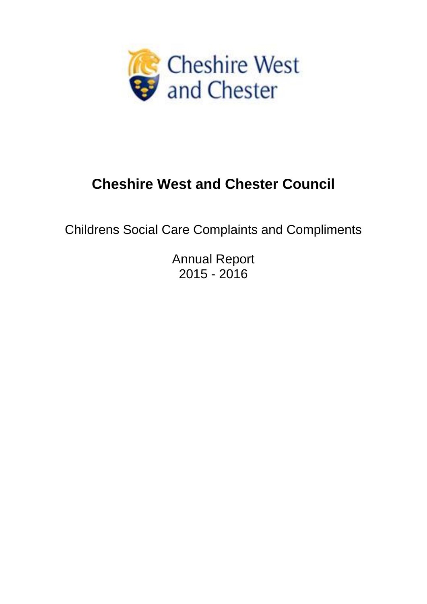

# **Cheshire West and Chester Council**

Childrens Social Care Complaints and Compliments

Annual Report 2015 - 2016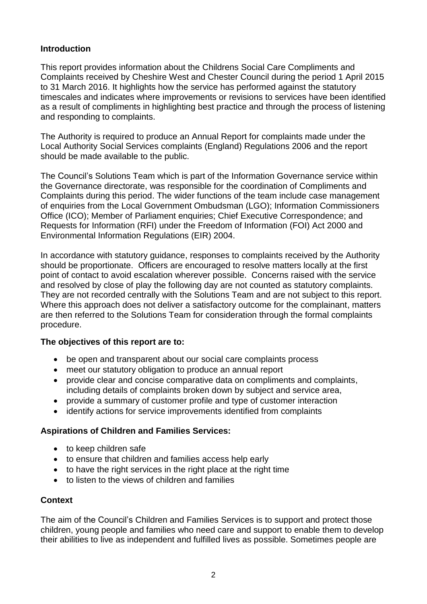# **Introduction**

This report provides information about the Childrens Social Care Compliments and Complaints received by Cheshire West and Chester Council during the period 1 April 2015 to 31 March 2016. It highlights how the service has performed against the statutory timescales and indicates where improvements or revisions to services have been identified as a result of compliments in highlighting best practice and through the process of listening and responding to complaints.

The Authority is required to produce an Annual Report for complaints made under the Local Authority Social Services complaints (England) Regulations 2006 and the report should be made available to the public.

The Council's Solutions Team which is part of the Information Governance service within the Governance directorate, was responsible for the coordination of Compliments and Complaints during this period. The wider functions of the team include case management of enquiries from the Local Government Ombudsman (LGO); Information Commissioners Office (ICO); Member of Parliament enquiries; Chief Executive Correspondence; and Requests for Information (RFI) under the Freedom of Information (FOI) Act 2000 and Environmental Information Regulations (EIR) 2004.

In accordance with statutory guidance, responses to complaints received by the Authority should be proportionate. Officers are encouraged to resolve matters locally at the first point of contact to avoid escalation wherever possible. Concerns raised with the service and resolved by close of play the following day are not counted as statutory complaints. They are not recorded centrally with the Solutions Team and are not subject to this report. Where this approach does not deliver a satisfactory outcome for the complainant, matters are then referred to the Solutions Team for consideration through the formal complaints procedure.

## **The objectives of this report are to:**

- be open and transparent about our social care complaints process
- meet our statutory obligation to produce an annual report
- provide clear and concise comparative data on compliments and complaints, including details of complaints broken down by subject and service area,
- provide a summary of customer profile and type of customer interaction
- identify actions for service improvements identified from complaints

## **Aspirations of Children and Families Services:**

- to keep children safe
- to ensure that children and families access help early
- to have the right services in the right place at the right time
- to listen to the views of children and families

## **Context**

The aim of the Council's Children and Families Services is to support and protect those children, young people and families who need care and support to enable them to develop their abilities to live as independent and fulfilled lives as possible. Sometimes people are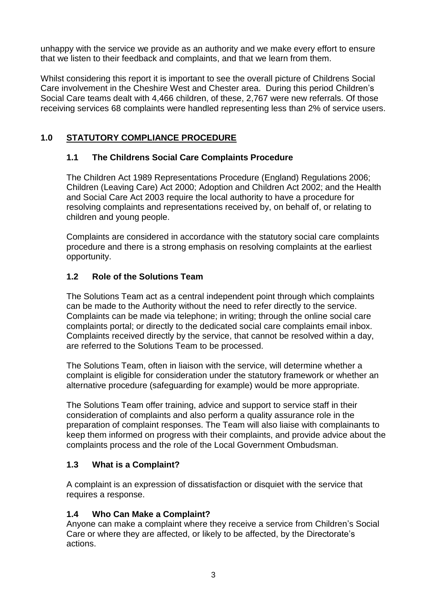unhappy with the service we provide as an authority and we make every effort to ensure that we listen to their feedback and complaints, and that we learn from them.

Whilst considering this report it is important to see the overall picture of Childrens Social Care involvement in the Cheshire West and Chester area. During this period Children's Social Care teams dealt with 4,466 children, of these, 2,767 were new referrals. Of those receiving services 68 complaints were handled representing less than 2% of service users.

# **1.0 STATUTORY COMPLIANCE PROCEDURE**

# **1.1 The Childrens Social Care Complaints Procedure**

The Children Act 1989 Representations Procedure (England) Regulations 2006; Children (Leaving Care) Act 2000; Adoption and Children Act 2002; and the Health and Social Care Act 2003 require the local authority to have a procedure for resolving complaints and representations received by, on behalf of, or relating to children and young people.

Complaints are considered in accordance with the statutory social care complaints procedure and there is a strong emphasis on resolving complaints at the earliest opportunity.

# **1.2 Role of the Solutions Team**

The Solutions Team act as a central independent point through which complaints can be made to the Authority without the need to refer directly to the service. Complaints can be made via telephone; in writing; through the online social care complaints portal; or directly to the dedicated social care complaints email inbox. Complaints received directly by the service, that cannot be resolved within a day, are referred to the Solutions Team to be processed.

The Solutions Team, often in liaison with the service, will determine whether a complaint is eligible for consideration under the statutory framework or whether an alternative procedure (safeguarding for example) would be more appropriate.

The Solutions Team offer training, advice and support to service staff in their consideration of complaints and also perform a quality assurance role in the preparation of complaint responses. The Team will also liaise with complainants to keep them informed on progress with their complaints, and provide advice about the complaints process and the role of the Local Government Ombudsman.

## **1.3 What is a Complaint?**

A complaint is an expression of dissatisfaction or disquiet with the service that requires a response.

# **1.4 Who Can Make a Complaint?**

Anyone can make a complaint where they receive a service from Children's Social Care or where they are affected, or likely to be affected, by the Directorate's actions.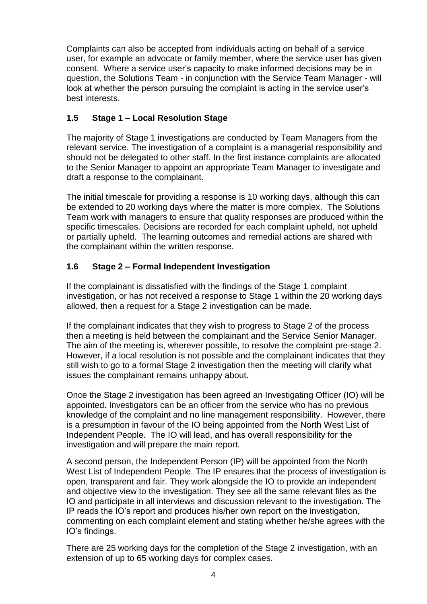Complaints can also be accepted from individuals acting on behalf of a service user, for example an advocate or family member, where the service user has given consent. Where a service user's capacity to make informed decisions may be in question, the Solutions Team - in conjunction with the Service Team Manager - will look at whether the person pursuing the complaint is acting in the service user's best interests.

# **1.5 Stage 1 – Local Resolution Stage**

The majority of Stage 1 investigations are conducted by Team Managers from the relevant service. The investigation of a complaint is a managerial responsibility and should not be delegated to other staff. In the first instance complaints are allocated to the Senior Manager to appoint an appropriate Team Manager to investigate and draft a response to the complainant.

The initial timescale for providing a response is 10 working days, although this can be extended to 20 working days where the matter is more complex. The Solutions Team work with managers to ensure that quality responses are produced within the specific timescales. Decisions are recorded for each complaint upheld, not upheld or partially upheld. The learning outcomes and remedial actions are shared with the complainant within the written response.

# **1.6 Stage 2 – Formal Independent Investigation**

If the complainant is dissatisfied with the findings of the Stage 1 complaint investigation, or has not received a response to Stage 1 within the 20 working days allowed, then a request for a Stage 2 investigation can be made.

If the complainant indicates that they wish to progress to Stage 2 of the process then a meeting is held between the complainant and the Service Senior Manager. The aim of the meeting is, wherever possible, to resolve the complaint pre-stage 2. However, if a local resolution is not possible and the complainant indicates that they still wish to go to a formal Stage 2 investigation then the meeting will clarify what issues the complainant remains unhappy about.

Once the Stage 2 investigation has been agreed an Investigating Officer (IO) will be appointed. Investigators can be an officer from the service who has no previous knowledge of the complaint and no line management responsibility. However, there is a presumption in favour of the IO being appointed from the North West List of Independent People. The IO will lead, and has overall responsibility for the investigation and will prepare the main report.

A second person, the Independent Person (IP) will be appointed from the North West List of Independent People. The IP ensures that the process of investigation is open, transparent and fair. They work alongside the IO to provide an independent and objective view to the investigation. They see all the same relevant files as the IO and participate in all interviews and discussion relevant to the investigation. The IP reads the IO's report and produces his/her own report on the investigation, commenting on each complaint element and stating whether he/she agrees with the IO's findings.

There are 25 working days for the completion of the Stage 2 investigation, with an extension of up to 65 working days for complex cases.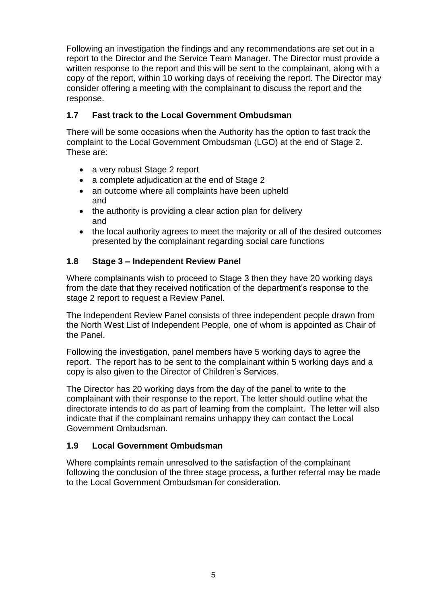Following an investigation the findings and any recommendations are set out in a report to the Director and the Service Team Manager. The Director must provide a written response to the report and this will be sent to the complainant, along with a copy of the report, within 10 working days of receiving the report. The Director may consider offering a meeting with the complainant to discuss the report and the response.

# **1.7 Fast track to the Local Government Ombudsman**

There will be some occasions when the Authority has the option to fast track the complaint to the Local Government Ombudsman (LGO) at the end of Stage 2. These are:

- a very robust Stage 2 report
- a complete adjudication at the end of Stage 2
- an outcome where all complaints have been upheld and
- the authority is providing a clear action plan for delivery and
- the local authority agrees to meet the majority or all of the desired outcomes presented by the complainant regarding social care functions

# **1.8 Stage 3 – Independent Review Panel**

Where complainants wish to proceed to Stage 3 then they have 20 working days from the date that they received notification of the department's response to the stage 2 report to request a Review Panel.

The Independent Review Panel consists of three independent people drawn from the North West List of Independent People, one of whom is appointed as Chair of the Panel.

Following the investigation, panel members have 5 working days to agree the report. The report has to be sent to the complainant within 5 working days and a copy is also given to the Director of Children's Services.

The Director has 20 working days from the day of the panel to write to the complainant with their response to the report. The letter should outline what the directorate intends to do as part of learning from the complaint. The letter will also indicate that if the complainant remains unhappy they can contact the Local Government Ombudsman.

## **1.9 Local Government Ombudsman**

Where complaints remain unresolved to the satisfaction of the complainant following the conclusion of the three stage process, a further referral may be made to the Local Government Ombudsman for consideration.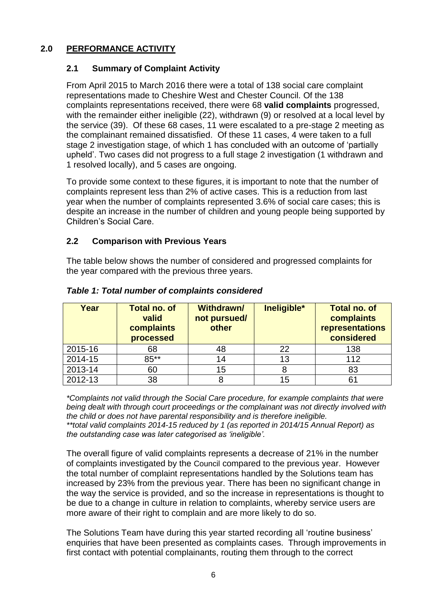# **2.0 PERFORMANCE ACTIVITY**

## **2.1 Summary of Complaint Activity**

From April 2015 to March 2016 there were a total of 138 social care complaint representations made to Cheshire West and Chester Council. Of the 138 complaints representations received, there were 68 **valid complaints** progressed, with the remainder either ineligible (22), withdrawn (9) or resolved at a local level by the service (39). Of these 68 cases, 11 were escalated to a pre-stage 2 meeting as the complainant remained dissatisfied. Of these 11 cases, 4 were taken to a full stage 2 investigation stage, of which 1 has concluded with an outcome of 'partially upheld'. Two cases did not progress to a full stage 2 investigation (1 withdrawn and 1 resolved locally), and 5 cases are ongoing.

To provide some context to these figures, it is important to note that the number of complaints represent less than 2% of active cases. This is a reduction from last year when the number of complaints represented 3.6% of social care cases; this is despite an increase in the number of children and young people being supported by Children's Social Care.

## **2.2 Comparison with Previous Years**

The table below shows the number of considered and progressed complaints for the year compared with the previous three years.

| Year    | <b>Total no. of</b><br>valid<br>complaints<br>processed | <b>Withdrawn/</b><br>not pursued/<br>other | Ineligible* | <b>Total no. of</b><br>complaints<br>representations<br>considered |
|---------|---------------------------------------------------------|--------------------------------------------|-------------|--------------------------------------------------------------------|
| 2015-16 | 68                                                      | 48                                         | 22          | 138                                                                |
| 2014-15 | 85**                                                    | 14                                         | 13          | 112                                                                |
| 2013-14 | 60                                                      | 15                                         |             | 83                                                                 |
| 2012-13 | 38                                                      |                                            | 15          | 61                                                                 |

## *Table 1: Total number of complaints considered*

*\*Complaints not valid through the Social Care procedure, for example complaints that were being dealt with through court proceedings or the complainant was not directly involved with the child or does not have parental responsibility and is therefore ineligible. \*\*total valid complaints 2014-15 reduced by 1 (as reported in 2014/15 Annual Report) as the outstanding case was later categorised as 'ineligible'.*

The overall figure of valid complaints represents a decrease of 21% in the number of complaints investigated by the Council compared to the previous year. However the total number of complaint representations handled by the Solutions team has increased by 23% from the previous year. There has been no significant change in the way the service is provided, and so the increase in representations is thought to be due to a change in culture in relation to complaints, whereby service users are more aware of their right to complain and are more likely to do so.

The Solutions Team have during this year started recording all 'routine business' enquiries that have been presented as complaints cases. Through improvements in first contact with potential complainants, routing them through to the correct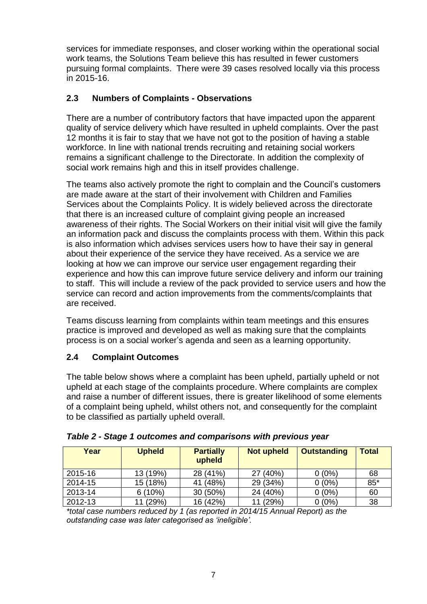services for immediate responses, and closer working within the operational social work teams, the Solutions Team believe this has resulted in fewer customers pursuing formal complaints. There were 39 cases resolved locally via this process in 2015-16.

## **2.3 Numbers of Complaints - Observations**

There are a number of contributory factors that have impacted upon the apparent quality of service delivery which have resulted in upheld complaints. Over the past 12 months it is fair to stay that we have not got to the position of having a stable workforce. In line with national trends recruiting and retaining social workers remains a significant challenge to the Directorate. In addition the complexity of social work remains high and this in itself provides challenge.

The teams also actively promote the right to complain and the Council's customers are made aware at the start of their involvement with Children and Families Services about the Complaints Policy. It is widely believed across the directorate that there is an increased culture of complaint giving people an increased awareness of their rights. The Social Workers on their initial visit will give the family an information pack and discuss the complaints process with them. Within this pack is also information which advises services users how to have their say in general about their experience of the service they have received. As a service we are looking at how we can improve our service user engagement regarding their experience and how this can improve future service delivery and inform our training to staff. This will include a review of the pack provided to service users and how the service can record and action improvements from the comments/complaints that are received.

Teams discuss learning from complaints within team meetings and this ensures practice is improved and developed as well as making sure that the complaints process is on a social worker's agenda and seen as a learning opportunity.

# **2.4 Complaint Outcomes**

The table below shows where a complaint has been upheld, partially upheld or not upheld at each stage of the complaints procedure. Where complaints are complex and raise a number of different issues, there is greater likelihood of some elements of a complaint being upheld, whilst others not, and consequently for the complaint to be classified as partially upheld overall.

| Year    | <b>Upheld</b> | <b>Partially</b><br>upheld | <b>Not upheld</b> | <b>Outstanding</b> | <b>Total</b> |
|---------|---------------|----------------------------|-------------------|--------------------|--------------|
| 2015-16 | 13 (19%)      | 28 (41%)                   | 27 (40%)          | $0(0\%)$           | 68           |
| 2014-15 | 15 (18%)      | 41 (48%)                   | 29 (34%)          | $0(0\%)$           | $85*$        |
| 2013-14 | 6(10%)        | 30 (50%)                   | 24 (40%)          | $0(0\%)$           | 60           |
| 2012-13 | 11 (29%)      | 16 (42%)                   | 11 (29%)          | $0(0\%)$           | 38           |

*\*total case numbers reduced by 1 (as reported in 2014/15 Annual Report) as the outstanding case was later categorised as 'ineligible'.*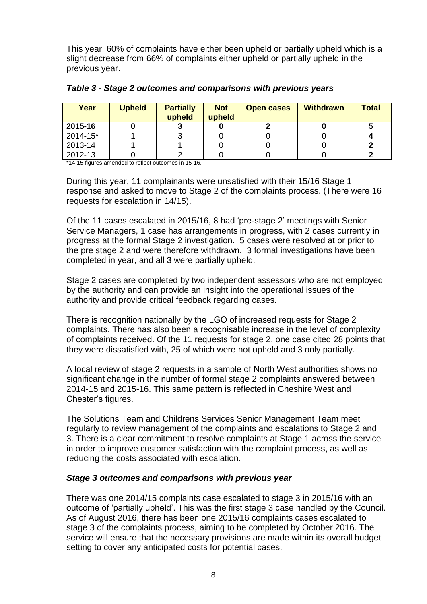This year, 60% of complaints have either been upheld or partially upheld which is a slight decrease from 66% of complaints either upheld or partially upheld in the previous year.

| Year         | <b>Upheld</b> | <b>Partially</b><br>upheld | <b>Not</b><br>upheld | <b>Open cases</b> | <b>Withdrawn</b> | <b>Total</b> |
|--------------|---------------|----------------------------|----------------------|-------------------|------------------|--------------|
| 2015-16      |               |                            |                      |                   |                  |              |
| $2014 - 15*$ |               |                            |                      |                   |                  |              |
| 2013-14      |               |                            |                      |                   |                  |              |
| 2012-13      |               |                            |                      |                   |                  |              |

*Table 3 - Stage 2 outcomes and comparisons with previous years*

\*14-15 figures amended to reflect outcomes in 15-16.

During this year, 11 complainants were unsatisfied with their 15/16 Stage 1 response and asked to move to Stage 2 of the complaints process. (There were 16 requests for escalation in 14/15).

Of the 11 cases escalated in 2015/16, 8 had 'pre-stage 2' meetings with Senior Service Managers, 1 case has arrangements in progress, with 2 cases currently in progress at the formal Stage 2 investigation. 5 cases were resolved at or prior to the pre stage 2 and were therefore withdrawn. 3 formal investigations have been completed in year, and all 3 were partially upheld.

Stage 2 cases are completed by two independent assessors who are not employed by the authority and can provide an insight into the operational issues of the authority and provide critical feedback regarding cases.

There is recognition nationally by the LGO of increased requests for Stage 2 complaints. There has also been a recognisable increase in the level of complexity of complaints received. Of the 11 requests for stage 2, one case cited 28 points that they were dissatisfied with, 25 of which were not upheld and 3 only partially.

A local review of stage 2 requests in a sample of North West authorities shows no significant change in the number of formal stage 2 complaints answered between 2014-15 and 2015-16. This same pattern is reflected in Cheshire West and Chester's figures.

The Solutions Team and Childrens Services Senior Management Team meet regularly to review management of the complaints and escalations to Stage 2 and 3. There is a clear commitment to resolve complaints at Stage 1 across the service in order to improve customer satisfaction with the complaint process, as well as reducing the costs associated with escalation.

#### *Stage 3 outcomes and comparisons with previous year*

There was one 2014/15 complaints case escalated to stage 3 in 2015/16 with an outcome of 'partially upheld'. This was the first stage 3 case handled by the Council. As of August 2016, there has been one 2015/16 complaints cases escalated to stage 3 of the complaints process, aiming to be completed by October 2016. The service will ensure that the necessary provisions are made within its overall budget setting to cover any anticipated costs for potential cases.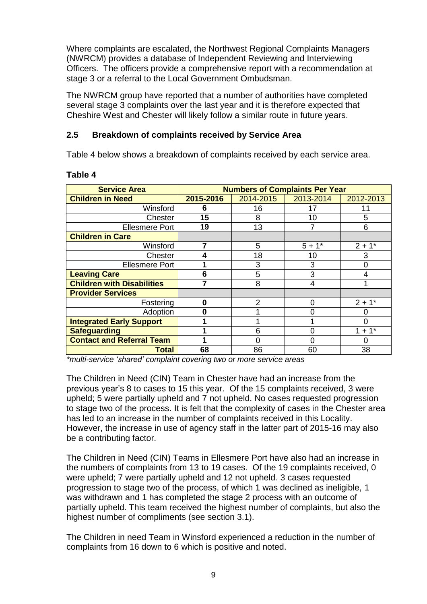Where complaints are escalated, the Northwest Regional Complaints Managers (NWRCM) provides a database of Independent Reviewing and Interviewing Officers. The officers provide a comprehensive report with a recommendation at stage 3 or a referral to the Local Government Ombudsman.

The NWRCM group have reported that a number of authorities have completed several stage 3 complaints over the last year and it is therefore expected that Cheshire West and Chester will likely follow a similar route in future years.

# **2.5 Breakdown of complaints received by Service Area**

Table 4 below shows a breakdown of complaints received by each service area.

| <b>Service Area</b>               |           | <b>Numbers of Complaints Per Year</b> |           |                      |  |  |  |
|-----------------------------------|-----------|---------------------------------------|-----------|----------------------|--|--|--|
| <b>Children in Need</b>           | 2015-2016 | 2014-2015                             | 2013-2014 | 2012-2013            |  |  |  |
| Winsford                          | 6         | 16                                    | 17        |                      |  |  |  |
| Chester                           | 15        | 8                                     | 10        | 5                    |  |  |  |
| <b>Ellesmere Port</b>             | 19        | 13                                    |           | 6                    |  |  |  |
| <b>Children in Care</b>           |           |                                       |           |                      |  |  |  |
| Winsford                          |           | 5                                     | $5 + 1*$  | $2 + 1*$             |  |  |  |
| Chester                           |           | 18                                    | 10        | 3                    |  |  |  |
| <b>Ellesmere Port</b>             |           | 3                                     | 3         |                      |  |  |  |
| <b>Leaving Care</b>               | 6         | 5                                     | 3         |                      |  |  |  |
| <b>Children with Disabilities</b> | 7         | 8                                     | 4         |                      |  |  |  |
| <b>Provider Services</b>          |           |                                       |           |                      |  |  |  |
| Fostering                         | 0         | $\mathfrak{p}$                        | $\Omega$  | $2 + 1*$             |  |  |  |
| Adoption                          | Ω         |                                       | 0         |                      |  |  |  |
| <b>Integrated Early Support</b>   |           |                                       |           |                      |  |  |  |
| <b>Safeguarding</b>               |           | 6                                     | 0         | $1 + 1$ <sup>*</sup> |  |  |  |
| <b>Contact and Referral Team</b>  |           | ი                                     | ი         |                      |  |  |  |
| Total                             | 68        | 86                                    | 60        | 38                   |  |  |  |

#### **Table 4**

*\*multi-service 'shared' complaint covering two or more service areas*

The Children in Need (CIN) Team in Chester have had an increase from the previous year's 8 to cases to 15 this year. Of the 15 complaints received, 3 were upheld; 5 were partially upheld and 7 not upheld. No cases requested progression to stage two of the process. It is felt that the complexity of cases in the Chester area has led to an increase in the number of complaints received in this Locality. However, the increase in use of agency staff in the latter part of 2015-16 may also be a contributing factor.

The Children in Need (CIN) Teams in Ellesmere Port have also had an increase in the numbers of complaints from 13 to 19 cases. Of the 19 complaints received, 0 were upheld; 7 were partially upheld and 12 not upheld. 3 cases requested progression to stage two of the process, of which 1 was declined as ineligible, 1 was withdrawn and 1 has completed the stage 2 process with an outcome of partially upheld. This team received the highest number of complaints, but also the highest number of compliments (see section 3.1).

The Children in need Team in Winsford experienced a reduction in the number of complaints from 16 down to 6 which is positive and noted.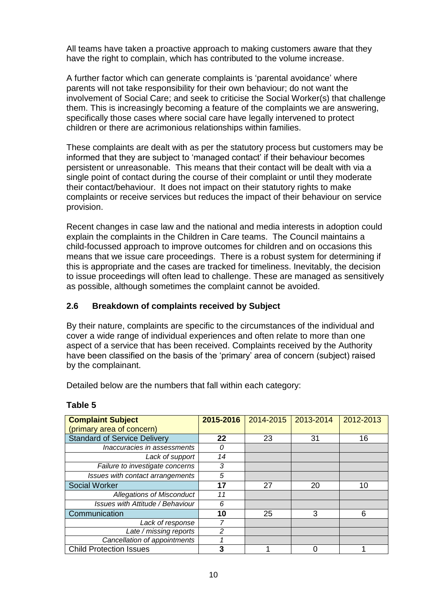All teams have taken a proactive approach to making customers aware that they have the right to complain, which has contributed to the volume increase.

A further factor which can generate complaints is 'parental avoidance' where parents will not take responsibility for their own behaviour; do not want the involvement of Social Care; and seek to criticise the Social Worker(s) that challenge them. This is increasingly becoming a feature of the complaints we are answering, specifically those cases where social care have legally intervened to protect children or there are acrimonious relationships within families.

These complaints are dealt with as per the statutory process but customers may be informed that they are subject to 'managed contact' if their behaviour becomes persistent or unreasonable. This means that their contact will be dealt with via a single point of contact during the course of their complaint or until they moderate their contact/behaviour. It does not impact on their statutory rights to make complaints or receive services but reduces the impact of their behaviour on service provision.

Recent changes in case law and the national and media interests in adoption could explain the complaints in the Children in Care teams. The Council maintains a child-focussed approach to improve outcomes for children and on occasions this means that we issue care proceedings. There is a robust system for determining if this is appropriate and the cases are tracked for timeliness. Inevitably, the decision to issue proceedings will often lead to challenge. These are managed as sensitively as possible, although sometimes the complaint cannot be avoided.

## **2.6 Breakdown of complaints received by Subject**

By their nature, complaints are specific to the circumstances of the individual and cover a wide range of individual experiences and often relate to more than one aspect of a service that has been received. Complaints received by the Authority have been classified on the basis of the 'primary' area of concern (subject) raised by the complainant.

Detailed below are the numbers that fall within each category:

| <b>Complaint Subject</b>                | 2015-2016 | 2014-2015 | 2013-2014 | 2012-2013 |
|-----------------------------------------|-----------|-----------|-----------|-----------|
| (primary area of concern)               |           |           |           |           |
| <b>Standard of Service Delivery</b>     | 22        | 23        | 31        | 16        |
| Inaccuracies in assessments             | 0         |           |           |           |
| Lack of support                         | 14        |           |           |           |
| Failure to investigate concerns         | 3         |           |           |           |
| Issues with contact arrangements        | 5         |           |           |           |
| <b>Social Worker</b>                    | 17        | 27        | 20        | 10        |
| <b>Allegations of Misconduct</b>        | 11        |           |           |           |
| <b>Issues with Attitude / Behaviour</b> | 6         |           |           |           |
| Communication                           | 10        | 25        | 3         | 6         |
| Lack of response                        |           |           |           |           |
| Late / missing reports                  | 2         |           |           |           |
| Cancellation of appointments            |           |           |           |           |
| <b>Child Protection Issues</b>          |           |           |           |           |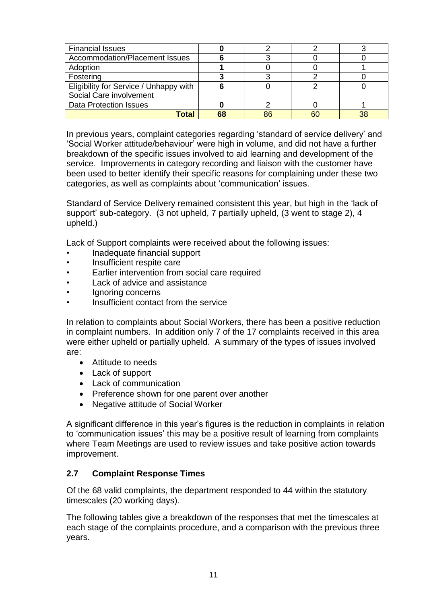| <b>Financial Issues</b>                |    |    |  |
|----------------------------------------|----|----|--|
| Accommodation/Placement Issues         |    |    |  |
| Adoption                               |    |    |  |
| Fostering                              |    |    |  |
| Eligibility for Service / Unhappy with |    |    |  |
| Social Care involvement                |    |    |  |
| <b>Data Protection Issues</b>          |    |    |  |
| Гоtal                                  | 68 | 86 |  |

In previous years, complaint categories regarding 'standard of service delivery' and 'Social Worker attitude/behaviour' were high in volume, and did not have a further breakdown of the specific issues involved to aid learning and development of the service. Improvements in category recording and liaison with the customer have been used to better identify their specific reasons for complaining under these two categories, as well as complaints about 'communication' issues.

Standard of Service Delivery remained consistent this year, but high in the 'lack of support' sub-category. (3 not upheld, 7 partially upheld, (3 went to stage 2), 4 upheld.)

Lack of Support complaints were received about the following issues:

- Inadequate financial support
- Insufficient respite care
- Earlier intervention from social care required
- Lack of advice and assistance
- Ignoring concerns
- Insufficient contact from the service

In relation to complaints about Social Workers, there has been a positive reduction in complaint numbers. In addition only 7 of the 17 complaints received in this area were either upheld or partially upheld. A summary of the types of issues involved are:

- Attitude to needs
- Lack of support
- Lack of communication
- Preference shown for one parent over another
- Negative attitude of Social Worker

A significant difference in this year's figures is the reduction in complaints in relation to 'communication issues' this may be a positive result of learning from complaints where Team Meetings are used to review issues and take positive action towards improvement.

## **2.7 Complaint Response Times**

Of the 68 valid complaints, the department responded to 44 within the statutory timescales (20 working days).

The following tables give a breakdown of the responses that met the timescales at each stage of the complaints procedure, and a comparison with the previous three years.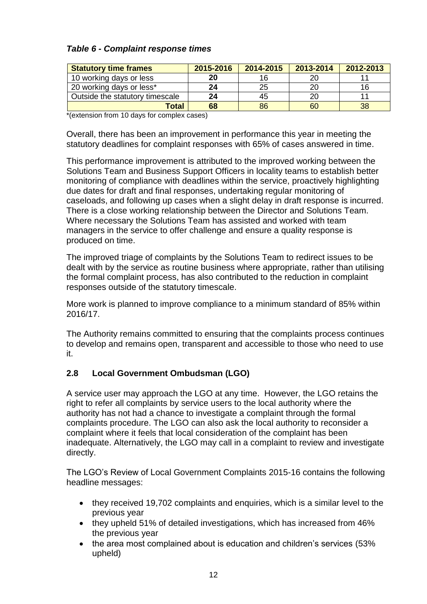# *Table 6 - Complaint response times*

| <b>Statutory time frames</b>    | 2015-2016 | 2014-2015 | 2013-2014 | 2012-2013 |
|---------------------------------|-----------|-----------|-----------|-----------|
| 10 working days or less         | 20        | 16        |           |           |
| 20 working days or less*        | 24        | 25        |           |           |
| Outside the statutory timescale | 24        | 45        |           |           |
| Total                           | 68        | 86        | 60        | 38        |

\*(extension from 10 days for complex cases)

Overall, there has been an improvement in performance this year in meeting the statutory deadlines for complaint responses with 65% of cases answered in time.

This performance improvement is attributed to the improved working between the Solutions Team and Business Support Officers in locality teams to establish better monitoring of compliance with deadlines within the service, proactively highlighting due dates for draft and final responses, undertaking regular monitoring of caseloads, and following up cases when a slight delay in draft response is incurred. There is a close working relationship between the Director and Solutions Team. Where necessary the Solutions Team has assisted and worked with team managers in the service to offer challenge and ensure a quality response is produced on time.

The improved triage of complaints by the Solutions Team to redirect issues to be dealt with by the service as routine business where appropriate, rather than utilising the formal complaint process, has also contributed to the reduction in complaint responses outside of the statutory timescale.

More work is planned to improve compliance to a minimum standard of 85% within 2016/17.

The Authority remains committed to ensuring that the complaints process continues to develop and remains open, transparent and accessible to those who need to use it.

## **2.8 Local Government Ombudsman (LGO)**

A service user may approach the LGO at any time. However, the LGO retains the right to refer all complaints by service users to the local authority where the authority has not had a chance to investigate a complaint through the formal complaints procedure. The LGO can also ask the local authority to reconsider a complaint where it feels that local consideration of the complaint has been inadequate. Alternatively, the LGO may call in a complaint to review and investigate directly.

The LGO's Review of Local Government Complaints 2015-16 contains the following headline messages:

- they received 19,702 complaints and enquiries, which is a similar level to the previous year
- they upheld 51% of detailed investigations, which has increased from 46% the previous year
- the area most complained about is education and children's services (53%) upheld)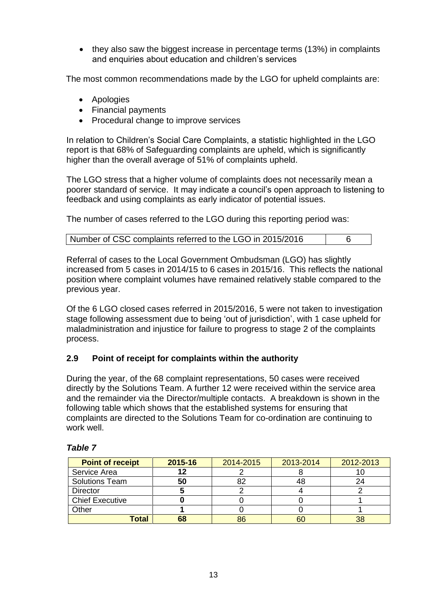• they also saw the biggest increase in percentage terms (13%) in complaints and enquiries about education and children's services

The most common recommendations made by the LGO for upheld complaints are:

- Apologies
- Financial payments
- Procedural change to improve services

In relation to Children's Social Care Complaints, a statistic highlighted in the LGO report is that 68% of Safeguarding complaints are upheld, which is significantly higher than the overall average of 51% of complaints upheld.

The LGO stress that a higher volume of complaints does not necessarily mean a poorer standard of service. It may indicate a council's open approach to listening to feedback and using complaints as early indicator of potential issues.

The number of cases referred to the LGO during this reporting period was:

| Number of CSC complaints referred to the LGO in 2015/2016 |  |
|-----------------------------------------------------------|--|
|-----------------------------------------------------------|--|

Referral of cases to the Local Government Ombudsman (LGO) has slightly increased from 5 cases in 2014/15 to 6 cases in 2015/16. This reflects the national position where complaint volumes have remained relatively stable compared to the previous year.

Of the 6 LGO closed cases referred in 2015/2016, 5 were not taken to investigation stage following assessment due to being 'out of jurisdiction', with 1 case upheld for maladministration and injustice for failure to progress to stage 2 of the complaints process.

## **2.9 Point of receipt for complaints within the authority**

During the year, of the 68 complaint representations, 50 cases were received directly by the Solutions Team. A further 12 were received within the service area and the remainder via the Director/multiple contacts. A breakdown is shown in the following table which shows that the established systems for ensuring that complaints are directed to the Solutions Team for co-ordination are continuing to work well.

| <b>Point of receipt</b> | 2015-16 | 2014-2015 | 2013-2014 | 2012-2013 |
|-------------------------|---------|-----------|-----------|-----------|
| Service Area            |         |           |           |           |
| <b>Solutions Team</b>   | 50      |           | 48        |           |
| <b>Director</b>         |         |           |           |           |
| <b>Chief Executive</b>  |         |           |           |           |
| Other                   |         |           |           |           |
| Total                   | 68      | 86        | 60        |           |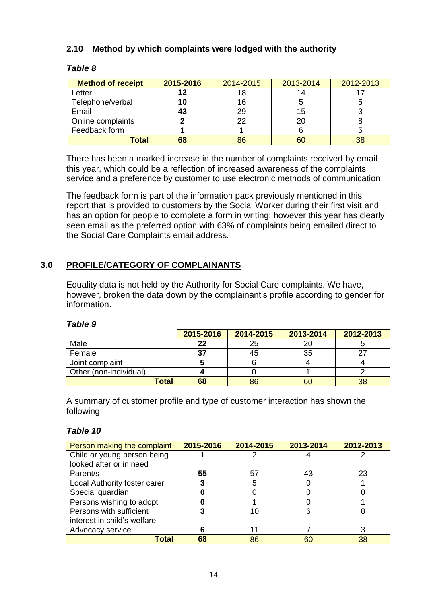## **2.10 Method by which complaints were lodged with the authority**

## *Table 8*

| <b>Method of receipt</b> | 2015-2016 | 2014-2015 | 2013-2014 | 2012-2013 |
|--------------------------|-----------|-----------|-----------|-----------|
| Letter                   |           |           |           |           |
| Telephone/verbal         |           |           |           |           |
| Email                    | 43        | 2Ģ        |           |           |
| Online complaints        |           | າາ        | 20        |           |
| Feedback form            |           |           |           |           |
| Total                    | 68        | 86        |           | 38        |

There has been a marked increase in the number of complaints received by email this year, which could be a reflection of increased awareness of the complaints service and a preference by customer to use electronic methods of communication.

The feedback form is part of the information pack previously mentioned in this report that is provided to customers by the Social Worker during their first visit and has an option for people to complete a form in writing; however this year has clearly seen email as the preferred option with 63% of complaints being emailed direct to the Social Care Complaints email address.

# **3.0 PROFILE/CATEGORY OF COMPLAINANTS**

Equality data is not held by the Authority for Social Care complaints. We have, however, broken the data down by the complainant's profile according to gender for information.

#### *Table 9*

|                        | 2015-2016 | 2014-2015 | 2013-2014 | 2012-2013 |
|------------------------|-----------|-----------|-----------|-----------|
| Male                   | 22        | 25        | 20        |           |
| Female                 | 37        | 45        | 35        |           |
| Joint complaint        |           |           |           |           |
| Other (non-individual) |           |           |           |           |
| <b>Total</b>           | 68        | 86        | 60        | 38        |

A summary of customer profile and type of customer interaction has shown the following:

| Person making the complaint  | 2015-2016 | 2014-2015 | 2013-2014 | 2012-2013 |
|------------------------------|-----------|-----------|-----------|-----------|
| Child or young person being  |           |           |           |           |
| looked after or in need      |           |           |           |           |
| Parent/s                     | 55        | 57        | 43        | 23        |
| Local Authority foster carer |           | 5         |           |           |
| Special guardian             |           |           |           |           |
| Persons wishing to adopt     |           |           |           |           |
| Persons with sufficient      |           | 10        | 6         | 8         |
| interest in child's welfare  |           |           |           |           |
| Advocacy service             |           |           |           | 3         |
| Total                        | 68        | 86        | 60        | 38        |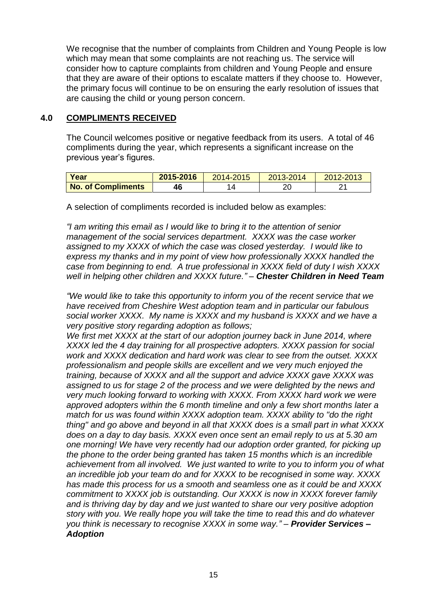We recognise that the number of complaints from Children and Young People is low which may mean that some complaints are not reaching us. The service will consider how to capture complaints from children and Young People and ensure that they are aware of their options to escalate matters if they choose to. However, the primary focus will continue to be on ensuring the early resolution of issues that are causing the child or young person concern.

#### **4.0 COMPLIMENTS RECEIVED**

The Council welcomes positive or negative feedback from its users. A total of 46 compliments during the year, which represents a significant increase on the previous year's figures.

| Year                      | 2015-2016 | 2014-2015 | 2013-2014 | 2012-2013 |
|---------------------------|-----------|-----------|-----------|-----------|
| <b>No. of Compliments</b> | 16        |           | 7r        |           |

A selection of compliments recorded is included below as examples:

*"I am writing this email as I would like to bring it to the attention of senior management of the social services department. XXXX was the case worker assigned to my XXXX of which the case was closed yesterday. I would like to express my thanks and in my point of view how professionally XXXX handled the case from beginning to end. A true professional in XXXX field of duty I wish XXXX well in helping other children and XXXX future." – Chester Children in Need Team*

*"We would like to take this opportunity to inform you of the recent service that we have received from Cheshire West adoption team and in particular our fabulous social worker XXXX. My name is XXXX and my husband is XXXX and we have a very positive story regarding adoption as follows;*

*We first met XXXX at the start of our adoption journey back in June 2014, where XXXX led the 4 day training for all prospective adopters. XXXX passion for social work and XXXX dedication and hard work was clear to see from the outset. XXXX professionalism and people skills are excellent and we very much enjoyed the training, because of XXXX and all the support and advice XXXX gave XXXX was assigned to us for stage 2 of the process and we were delighted by the news and very much looking forward to working with XXXX. From XXXX hard work we were approved adopters within the 6 month timeline and only a few short months later a match for us was found within XXXX adoption team. XXXX ability to "do the right thing" and go above and beyond in all that XXXX does is a small part in what XXXX does on a day to day basis. XXXX even once sent an email reply to us at 5.30 am one morning! We have very recently had our adoption order granted, for picking up the phone to the order being granted has taken 15 months which is an incredible achievement from all involved. We just wanted to write to you to inform you of what an incredible job your team do and for XXXX to be recognised in some way. XXXX has made this process for us a smooth and seamless one as it could be and XXXX commitment to XXXX job is outstanding. Our XXXX is now in XXXX forever family and is thriving day by day and we just wanted to share our very positive adoption story with you. We really hope you will take the time to read this and do whatever you think is necessary to recognise XXXX in some way." – Provider Services – Adoption*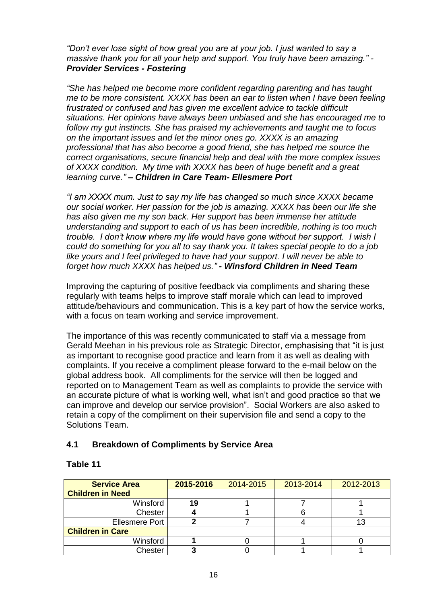*"Don't ever lose sight of how great you are at your job. I just wanted to say a massive thank you for all your help and support. You truly have been amazing." - Provider Services - Fostering*

*"She has helped me become more confident regarding parenting and has taught me to be more consistent. XXXX has been an ear to listen when I have been feeling frustrated or confused and has given me excellent advice to tackle difficult situations. Her opinions have always been unbiased and she has encouraged me to follow my gut instincts. She has praised my achievements and taught me to focus on the important issues and let the minor ones go. XXXX is an amazing professional that has also become a good friend, she has helped me source the correct organisations, secure financial help and deal with the more complex issues of XXXX condition. My time with XXXX has been of huge benefit and a great learning curve." – Children in Care Team- Ellesmere Port*

*"I am XXXX mum. Just to say my life has changed so much since XXXX became our social worker. Her passion for the job is amazing. XXXX has been our life she has also given me my son back. Her support has been immense her attitude understanding and support to each of us has been incredible, nothing is too much trouble. I don't know where my life would have gone without her support. I wish I could do something for you all to say thank you. It takes special people to do a job like yours and I feel privileged to have had your support. I will never be able to forget how much XXXX has helped us." - Winsford Children in Need Team*

Improving the capturing of positive feedback via compliments and sharing these regularly with teams helps to improve staff morale which can lead to improved attitude/behaviours and communication. This is a key part of how the service works, with a focus on team working and service improvement.

The importance of this was recently communicated to staff via a message from Gerald Meehan in his previous role as Strategic Director, emphasising that "it is just as important to recognise good practice and learn from it as well as dealing with complaints. If you receive a compliment please forward to the e-mail below on the global address book. All compliments for the service will then be logged and reported on to Management Team as well as complaints to provide the service with an accurate picture of what is working well, what isn't and good practice so that we can improve and develop our service provision". Social Workers are also asked to retain a copy of the compliment on their supervision file and send a copy to the Solutions Team.

#### **4.1 Breakdown of Compliments by Service Area**

| <b>Service Area</b>     | 2015-2016 | 2014-2015 | 2013-2014 | 2012-2013 |
|-------------------------|-----------|-----------|-----------|-----------|
| <b>Children in Need</b> |           |           |           |           |
| Winsford                | 19        |           |           |           |
| Chester                 |           |           |           |           |
| <b>Ellesmere Port</b>   |           |           |           | 13        |
| <b>Children in Care</b> |           |           |           |           |
| Winsford                |           |           |           |           |
| Chester                 |           |           |           |           |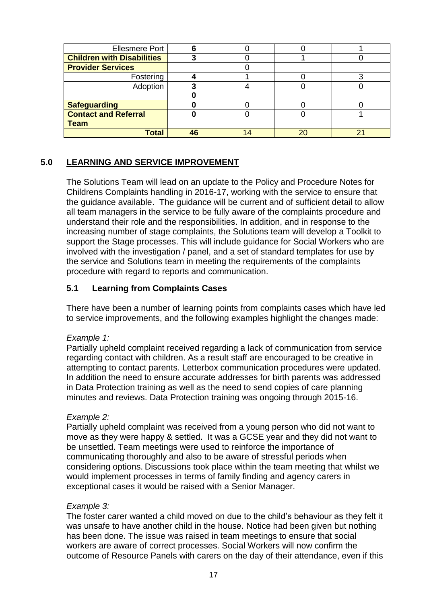| <b>Ellesmere Port</b>             |    |    |    |
|-----------------------------------|----|----|----|
| <b>Children with Disabilities</b> |    |    |    |
| <b>Provider Services</b>          |    |    |    |
| Fostering                         |    |    |    |
| Adoption                          |    |    |    |
|                                   |    |    |    |
| <b>Safeguarding</b>               |    |    |    |
| <b>Contact and Referral</b>       |    |    |    |
| <b>Team</b>                       |    |    |    |
| <b>Total</b>                      | 16 | 20 | n. |

## **5.0 LEARNING AND SERVICE IMPROVEMENT**

The Solutions Team will lead on an update to the Policy and Procedure Notes for Childrens Complaints handling in 2016-17, working with the service to ensure that the guidance available. The guidance will be current and of sufficient detail to allow all team managers in the service to be fully aware of the complaints procedure and understand their role and the responsibilities. In addition, and in response to the increasing number of stage complaints, the Solutions team will develop a Toolkit to support the Stage processes. This will include guidance for Social Workers who are involved with the investigation / panel, and a set of standard templates for use by the service and Solutions team in meeting the requirements of the complaints procedure with regard to reports and communication.

## **5.1 Learning from Complaints Cases**

There have been a number of learning points from complaints cases which have led to service improvements, and the following examples highlight the changes made:

#### *Example 1:*

Partially upheld complaint received regarding a lack of communication from service regarding contact with children. As a result staff are encouraged to be creative in attempting to contact parents. Letterbox communication procedures were updated. In addition the need to ensure accurate addresses for birth parents was addressed in Data Protection training as well as the need to send copies of care planning minutes and reviews. Data Protection training was ongoing through 2015-16.

#### *Example 2:*

Partially upheld complaint was received from a young person who did not want to move as they were happy & settled. It was a GCSE year and they did not want to be unsettled. Team meetings were used to reinforce the importance of communicating thoroughly and also to be aware of stressful periods when considering options. Discussions took place within the team meeting that whilst we would implement processes in terms of family finding and agency carers in exceptional cases it would be raised with a Senior Manager.

#### *Example 3:*

The foster carer wanted a child moved on due to the child's behaviour as they felt it was unsafe to have another child in the house. Notice had been given but nothing has been done. The issue was raised in team meetings to ensure that social workers are aware of correct processes. Social Workers will now confirm the outcome of Resource Panels with carers on the day of their attendance, even if this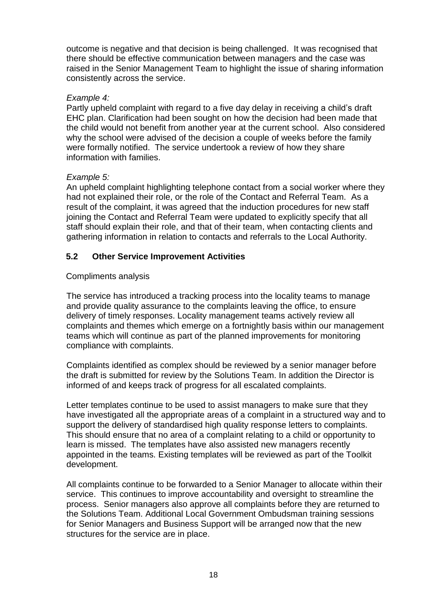outcome is negative and that decision is being challenged. It was recognised that there should be effective communication between managers and the case was raised in the Senior Management Team to highlight the issue of sharing information consistently across the service.

#### *Example 4:*

Partly upheld complaint with regard to a five day delay in receiving a child's draft EHC plan. Clarification had been sought on how the decision had been made that the child would not benefit from another year at the current school. Also considered why the school were advised of the decision a couple of weeks before the family were formally notified. The service undertook a review of how they share information with families.

#### *Example 5:*

An upheld complaint highlighting telephone contact from a social worker where they had not explained their role, or the role of the Contact and Referral Team. As a result of the complaint, it was agreed that the induction procedures for new staff joining the Contact and Referral Team were updated to explicitly specify that all staff should explain their role, and that of their team, when contacting clients and gathering information in relation to contacts and referrals to the Local Authority.

## **5.2 Other Service Improvement Activities**

#### Compliments analysis

The service has introduced a tracking process into the locality teams to manage and provide quality assurance to the complaints leaving the office, to ensure delivery of timely responses. Locality management teams actively review all complaints and themes which emerge on a fortnightly basis within our management teams which will continue as part of the planned improvements for monitoring compliance with complaints.

Complaints identified as complex should be reviewed by a senior manager before the draft is submitted for review by the Solutions Team. In addition the Director is informed of and keeps track of progress for all escalated complaints.

Letter templates continue to be used to assist managers to make sure that they have investigated all the appropriate areas of a complaint in a structured way and to support the delivery of standardised high quality response letters to complaints. This should ensure that no area of a complaint relating to a child or opportunity to learn is missed. The templates have also assisted new managers recently appointed in the teams. Existing templates will be reviewed as part of the Toolkit development.

All complaints continue to be forwarded to a Senior Manager to allocate within their service. This continues to improve accountability and oversight to streamline the process. Senior managers also approve all complaints before they are returned to the Solutions Team. Additional Local Government Ombudsman training sessions for Senior Managers and Business Support will be arranged now that the new structures for the service are in place.